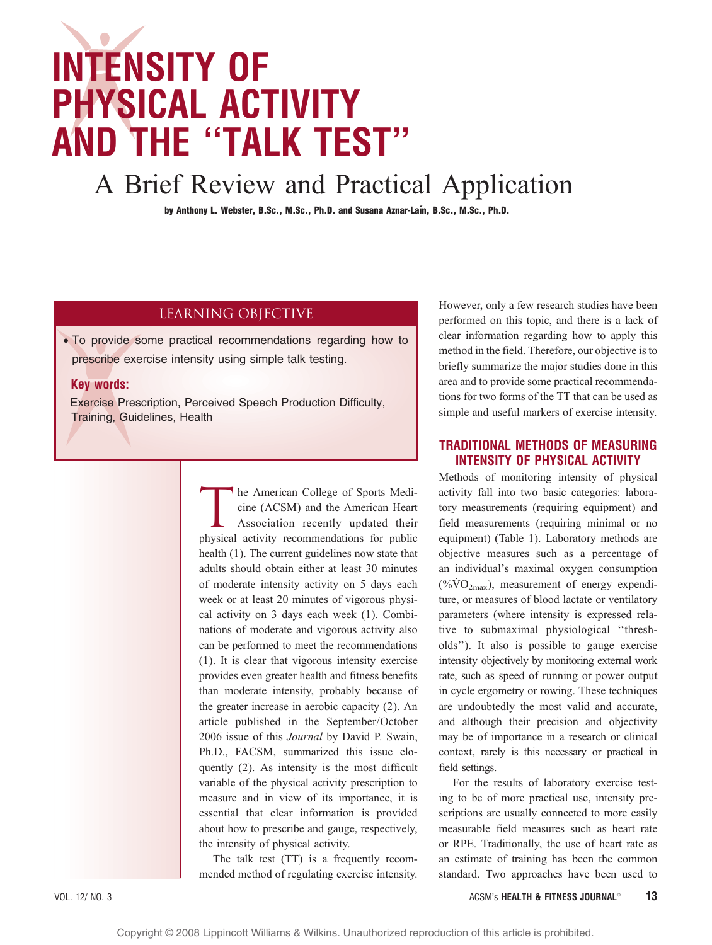# INTENSITY OF PHYSICAL ACTIVITY AND THE ''TALK TEST''

# A Brief Review and Practical Application

by Anthony L. Webster, B.Sc., M.Sc., Ph.D. and Susana Aznar-Laín, B.Sc., M.Sc., Ph.D.

#### LEARNING OBJECTIVE

*•* To provide some practical recommendations regarding how to prescribe exercise intensity using simple talk testing.

#### Key words:

Exercise Prescription, Perceived Speech Production Difficulty, Training, Guidelines, Health

> The American College of Sports Medicine (ACSM) and the American Heart Association recently updated their physical activity recommendations for public health (1). The current guidelines now state that adults should obtain either at least 30 minutes of moderate intensity activity on 5 days each week or at least 20 minutes of vigorous physical activity on 3 days each week (1). Combinations of moderate and vigorous activity also can be performed to meet the recommendations (1). It is clear that vigorous intensity exercise provides even greater health and fitness benefits than moderate intensity, probably because of the greater increase in aerobic capacity (2). An article published in the September/October 2006 issue of this Journal by David P. Swain, Ph.D., FACSM, summarized this issue eloquently (2). As intensity is the most difficult variable of the physical activity prescription to measure and in view of its importance, it is essential that clear information is provided about how to prescribe and gauge, respectively, the intensity of physical activity.

> The talk test (TT) is a frequently recommended method of regulating exercise intensity.

However, only a few research studies have been performed on this topic, and there is a lack of clear information regarding how to apply this method in the field. Therefore, our objective is to briefly summarize the major studies done in this area and to provide some practical recommendations for two forms of the TT that can be used as simple and useful markers of exercise intensity.

#### TRADITIONAL METHODS OF MEASURING INTENSITY OF PHYSICAL ACTIVITY

Methods of monitoring intensity of physical activity fall into two basic categories: laboratory measurements (requiring equipment) and field measurements (requiring minimal or no equipment) (Table 1). Laboratory methods are objective measures such as a percentage of an individual's maximal oxygen consumption  $(\sqrt[6]{\text{v}} \text{O}_{2\text{max}})$ , measurement of energy expenditure, or measures of blood lactate or ventilatory parameters (where intensity is expressed relative to submaximal physiological ''thresholds''). It also is possible to gauge exercise intensity objectively by monitoring external work rate, such as speed of running or power output in cycle ergometry or rowing. These techniques are undoubtedly the most valid and accurate, and although their precision and objectivity may be of importance in a research or clinical context, rarely is this necessary or practical in field settings.

For the results of laboratory exercise testing to be of more practical use, intensity prescriptions are usually connected to more easily measurable field measures such as heart rate or RPE. Traditionally, the use of heart rate as an estimate of training has been the common standard. Two approaches have been used to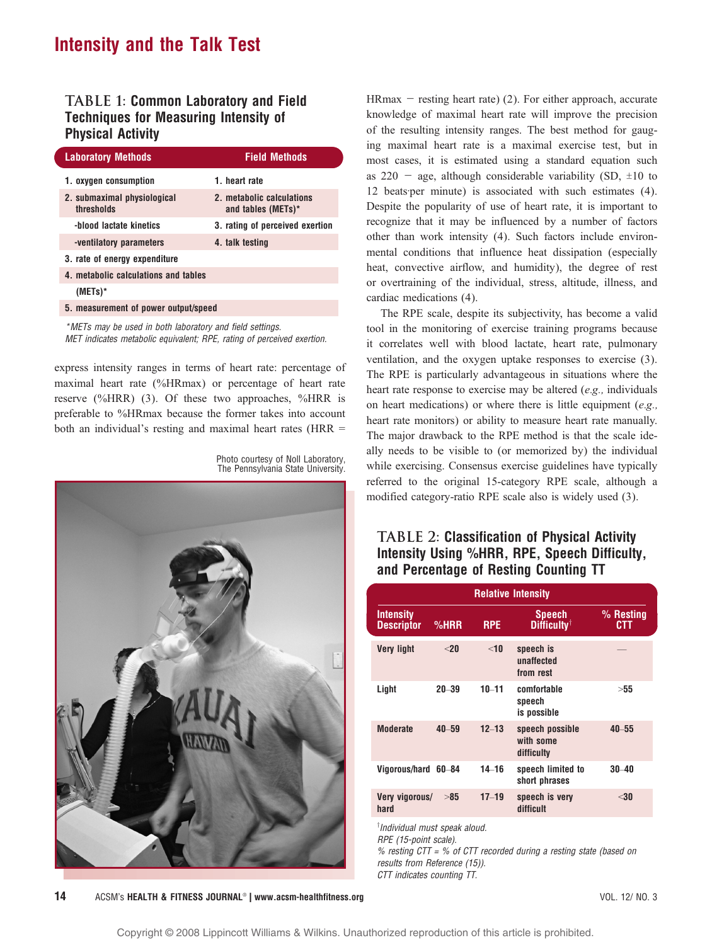# TABLE 1: Common Laboratory and Field Techniques for Measuring Intensity of Physical Activity

| <b>Laboratory Methods</b>                 | <b>Field Methods</b>                            |  |  |  |
|-------------------------------------------|-------------------------------------------------|--|--|--|
| 1. oxygen consumption                     | 1. heart rate                                   |  |  |  |
| 2. submaximal physiological<br>thresholds | 2. metabolic calculations<br>and tables (METs)* |  |  |  |
| -blood lactate kinetics                   | 3. rating of perceived exertion                 |  |  |  |
| -ventilatory parameters                   | 4. talk testing                                 |  |  |  |
| 3. rate of energy expenditure             |                                                 |  |  |  |
| 4. metabolic calculations and tables      |                                                 |  |  |  |
| $(METS)^*$                                |                                                 |  |  |  |
| 5. measurement of power output/speed      |                                                 |  |  |  |

\*METs may be used in both laboratory and field settings. MET indicates metabolic equivalent; RPE, rating of perceived exertion.

express intensity ranges in terms of heart rate: percentage of maximal heart rate (%HRmax) or percentage of heart rate reserve (%HRR) (3). Of these two approaches, %HRR is preferable to %HRmax because the former takes into account both an individual's resting and maximal heart rates (HRR =

> Photo courtesy of Noll Laboratory, The Pennsylvania State University.



14 ACSM's HEALTH & FITNESS JOURNAL® | www.acsm-healthfitness.org **VOL. 12/ NO. 3** VOL. 12/ NO. 3

HRmax  $-$  resting heart rate) (2). For either approach, accurate knowledge of maximal heart rate will improve the precision of the resulting intensity ranges. The best method for gauging maximal heart rate is a maximal exercise test, but in most cases, it is estimated using a standard equation such as 220 – age, although considerable variability (SD,  $\pm 10$  to 12 beats per minute) is associated with such estimates (4). Despite the popularity of use of heart rate, it is important to recognize that it may be influenced by a number of factors other than work intensity (4). Such factors include environmental conditions that influence heat dissipation (especially heat, convective airflow, and humidity), the degree of rest or overtraining of the individual, stress, altitude, illness, and cardiac medications (4).

The RPE scale, despite its subjectivity, has become a valid tool in the monitoring of exercise training programs because it correlates well with blood lactate, heart rate, pulmonary ventilation, and the oxygen uptake responses to exercise (3). The RPE is particularly advantageous in situations where the heart rate response to exercise may be altered (e.g., individuals on heart medications) or where there is little equipment (e.g., heart rate monitors) or ability to measure heart rate manually. The major drawback to the RPE method is that the scale ideally needs to be visible to (or memorized by) the individual while exercising. Consensus exercise guidelines have typically referred to the original 15-category RPE scale, although a modified category-ratio RPE scale also is widely used (3).

# TABLE 2: Classification of Physical Activity Intensity Using %HRR, RPE, Speech Difficulty, and Percentage of Resting Counting TT

| <b>Relative Intensity</b>             |           |            |                                            |                         |
|---------------------------------------|-----------|------------|--------------------------------------------|-------------------------|
| <b>Intensity</b><br><b>Descriptor</b> | % HRR     | <b>RPE</b> | <b>Speech</b><br>$Difficultv^{\dagger}$    | % Resting<br><b>CTT</b> |
| <b>Very light</b>                     | $<$ 20    | $<$ 10     | speech is<br>unaffected<br>from rest       |                         |
| Light                                 | $20 - 39$ | $10 - 11$  | comfortable<br>speech<br>is possible       | >55                     |
| <b>Moderate</b>                       | $40 - 59$ | $12 - 13$  | speech possible<br>with some<br>difficulty | $40 - 55$               |
| Vigorous/hard                         | 60-84     | $14 - 16$  | speech limited to<br>short phrases         | $30 - 40$               |
| Very vigorous/<br>hard                | > 85      | $17 - 19$  | speech is very<br>difficult                | $30$                    |

*i* Individual must speak aloud.

RPE (15-point scale). % resting CTT = % of CTT recorded during a resting state (based on

results from Reference (15)). CTT indicates counting TT.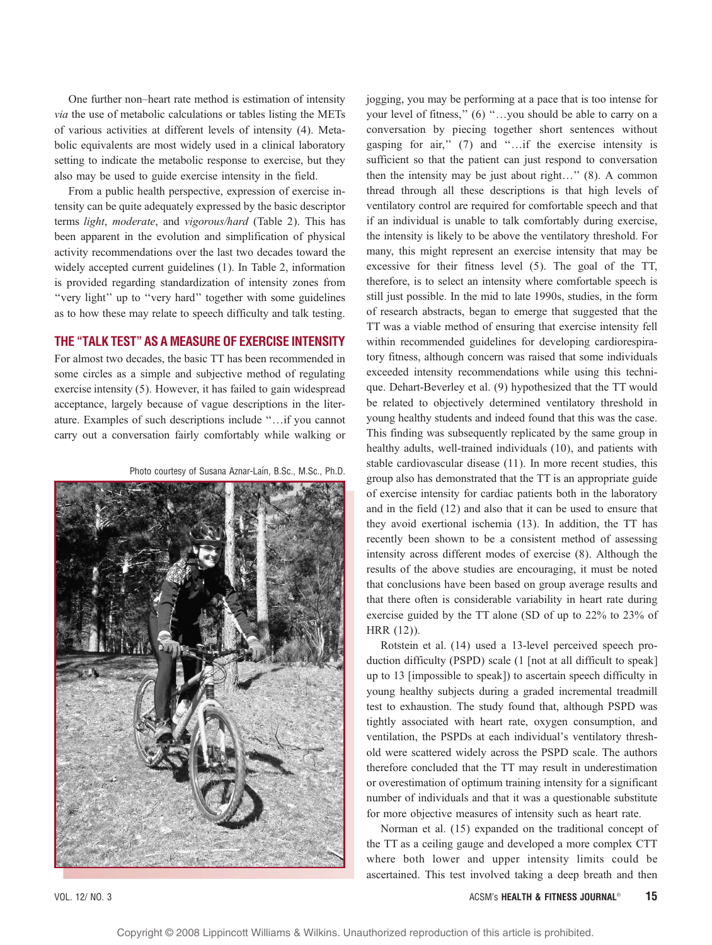One further non-heart rate method is estimation of intensity via the use of metabolic calculations or tables listing the METs of various activities at different levels of intensity (4). Metabolic equivalents are most widely used in a clinical laboratory setting to indicate the metabolic response to exercise, but they also may be used to guide exercise intensity in the field.

From a public health perspective, expression of exercise intensity can be quite adequately expressed by the basic descriptor terms light, moderate, and vigorous/hard (Table 2). This has been apparent in the evolution and simplification of physical activity recommendations over the last two decades toward the widely accepted current guidelines (1). In Table 2, information is provided regarding standardization of intensity zones from "very light" up to "very hard" together with some guidelines as to how these may relate to speech difficulty and talk testing.

#### THE ''TALK TEST'' AS A MEASURE OF EXERCISE INTENSITY

For almost two decades, the basic TT has been recommended in some circles as a simple and subjective method of regulating exercise intensity (5). However, it has failed to gain widespread acceptance, largely because of vague descriptions in the literature. Examples of such descriptions include "...if you cannot carry out a conversation fairly comfortably while walking or

Photo courtesy of Susana Aznar-Laín, B.Sc., M.Sc., Ph.D.



jogging, you may be performing at a pace that is too intense for your level of fitness," (6) "...you should be able to carry on a conversation by piecing together short sentences without gasping for air,"  $(7)$  and "...if the exercise intensity is sufficient so that the patient can just respond to conversation then the intensity may be just about right..."  $(8)$ . A common thread through all these descriptions is that high levels of ventilatory control are required for comfortable speech and that if an individual is unable to talk comfortably during exercise, the intensity is likely to be above the ventilatory threshold. For many, this might represent an exercise intensity that may be excessive for their fitness level (5). The goal of the TT, therefore, is to select an intensity where comfortable speech is still just possible. In the mid to late 1990s, studies, in the form of research abstracts, began to emerge that suggested that the TT was a viable method of ensuring that exercise intensity fell within recommended guidelines for developing cardiorespiratory fitness, although concern was raised that some individuals exceeded intensity recommendations while using this technique. Dehart-Beverley et al. (9) hypothesized that the TT would be related to objectively determined ventilatory threshold in young healthy students and indeed found that this was the case. This finding was subsequently replicated by the same group in healthy adults, well-trained individuals (10), and patients with stable cardiovascular disease (11). In more recent studies, this group also has demonstrated that the TT is an appropriate guide of exercise intensity for cardiac patients both in the laboratory and in the field (12) and also that it can be used to ensure that they avoid exertional ischemia (13). In addition, the TT has recently been shown to be a consistent method of assessing intensity across different modes of exercise (8). Although the results of the above studies are encouraging, it must be noted that conclusions have been based on group average results and that there often is considerable variability in heart rate during exercise guided by the TT alone (SD of up to 22% to 23% of HRR (12)).

Rotstein et al. (14) used a 13-level perceived speech production difficulty (PSPD) scale (1 [not at all difficult to speak] up to 13 [impossible to speak]) to ascertain speech difficulty in young healthy subjects during a graded incremental treadmill test to exhaustion. The study found that, although PSPD was tightly associated with heart rate, oxygen consumption, and ventilation, the PSPDs at each individual's ventilatory threshold were scattered widely across the PSPD scale. The authors therefore concluded that the TT may result in underestimation or overestimation of optimum training intensity for a significant number of individuals and that it was a questionable substitute for more objective measures of intensity such as heart rate.

Norman et al. (15) expanded on the traditional concept of the TT as a ceiling gauge and developed a more complex CTT where both lower and upper intensity limits could be ascertained. This test involved taking a deep breath and then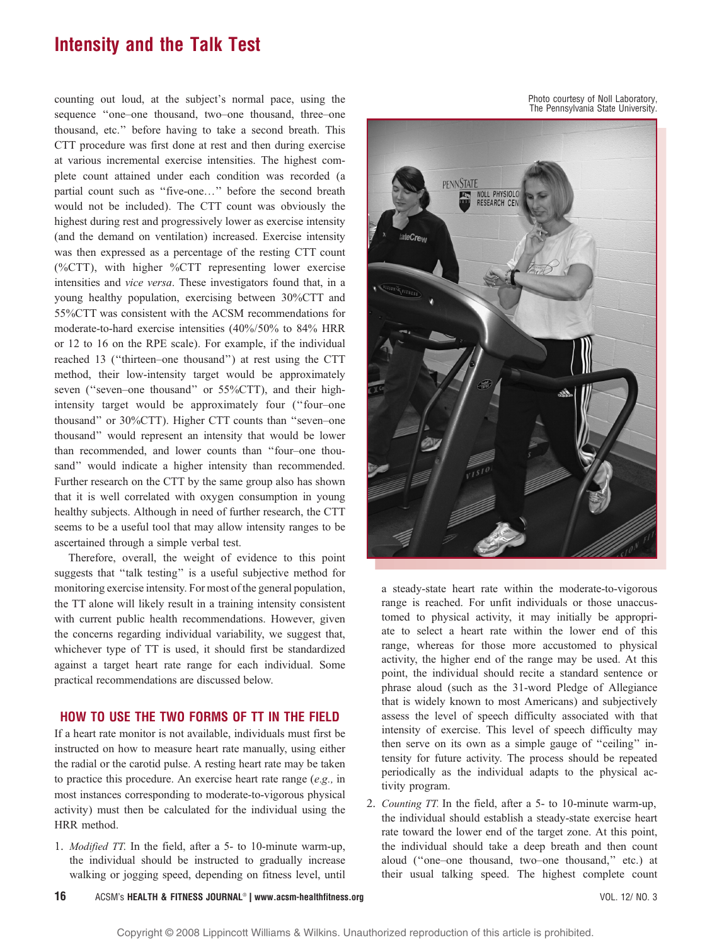# Intensity and the Talk Test

counting out loud, at the subject's normal pace, using the sequence "one-one thousand, two-one thousand, three-one thousand, etc.'' before having to take a second breath. This CTT procedure was first done at rest and then during exercise at various incremental exercise intensities. The highest complete count attained under each condition was recorded (a partial count such as "five-one..." before the second breath would not be included). The CTT count was obviously the highest during rest and progressively lower as exercise intensity (and the demand on ventilation) increased. Exercise intensity was then expressed as a percentage of the resting CTT count (%CTT), with higher %CTT representing lower exercise intensities and vice versa. These investigators found that, in a young healthy population, exercising between 30%CTT and 55%CTT was consistent with the ACSM recommendations for moderate-to-hard exercise intensities (40%/50% to 84% HRR or 12 to 16 on the RPE scale). For example, if the individual reached 13 ("thirteen-one thousand") at rest using the CTT method, their low-intensity target would be approximately seven ("seven-one thousand" or 55%CTT), and their highintensity target would be approximately four ("four-one" thousand" or 30%CTT). Higher CTT counts than "seven-one thousand'' would represent an intensity that would be lower than recommended, and lower counts than "four-one thousand'' would indicate a higher intensity than recommended. Further research on the CTT by the same group also has shown that it is well correlated with oxygen consumption in young healthy subjects. Although in need of further research, the CTT seems to be a useful tool that may allow intensity ranges to be ascertained through a simple verbal test.

Therefore, overall, the weight of evidence to this point suggests that ''talk testing'' is a useful subjective method for monitoring exercise intensity. For most of the general population, the TT alone will likely result in a training intensity consistent with current public health recommendations. However, given the concerns regarding individual variability, we suggest that, whichever type of TT is used, it should first be standardized against a target heart rate range for each individual. Some practical recommendations are discussed below.

#### HOW TO USE THE TWO FORMS OF TT IN THE FIELD

If a heart rate monitor is not available, individuals must first be instructed on how to measure heart rate manually, using either the radial or the carotid pulse. A resting heart rate may be taken to practice this procedure. An exercise heart rate range (e.g., in most instances corresponding to moderate-to-vigorous physical activity) must then be calculated for the individual using the HRR method.

1. Modified TT. In the field, after a 5- to 10-minute warm-up, the individual should be instructed to gradually increase walking or jogging speed, depending on fitness level, until

Photo courtesy of Noll Laboratory, The Pennsylvania State University.



a steady-state heart rate within the moderate-to-vigorous range is reached. For unfit individuals or those unaccustomed to physical activity, it may initially be appropriate to select a heart rate within the lower end of this range, whereas for those more accustomed to physical activity, the higher end of the range may be used. At this point, the individual should recite a standard sentence or phrase aloud (such as the 31-word Pledge of Allegiance that is widely known to most Americans) and subjectively assess the level of speech difficulty associated with that intensity of exercise. This level of speech difficulty may then serve on its own as a simple gauge of ''ceiling'' intensity for future activity. The process should be repeated periodically as the individual adapts to the physical activity program.

2. Counting TT. In the field, after a 5- to 10-minute warm-up, the individual should establish a steady-state exercise heart rate toward the lower end of the target zone. At this point, the individual should take a deep breath and then count aloud ("one-one thousand, two-one thousand," etc.) at their usual talking speed. The highest complete count